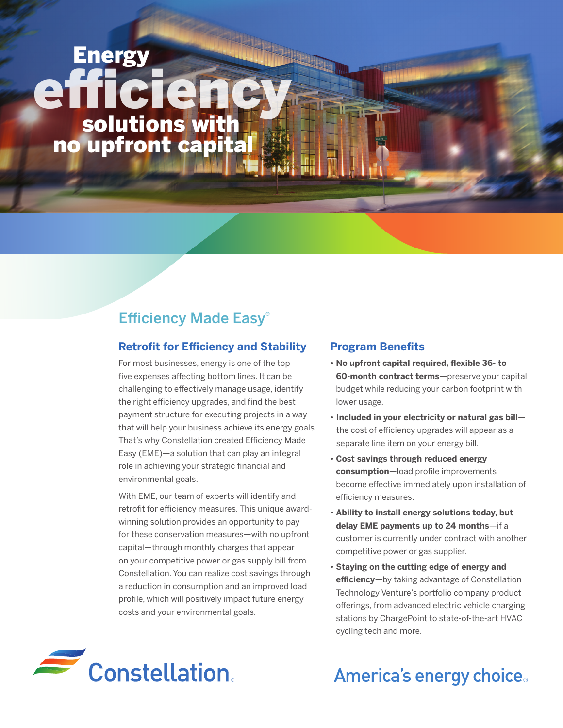# solutions with Energy efficiency no upfront capital

## Efficiency Made Easy®

## **Retrofit for Efficiency and Stability**

For most businesses, energy is one of the top five expenses affecting bottom lines. It can be challenging to effectively manage usage, identify the right efficiency upgrades, and find the best payment structure for executing projects in a way that will help your business achieve its energy goals. That's why Constellation created Efficiency Made Easy (EME)—a solution that can play an integral role in achieving your strategic financial and environmental goals.

With EME, our team of experts will identify and retrofit for efficiency measures. This unique awardwinning solution provides an opportunity to pay for these conservation measures—with no upfront capital—through monthly charges that appear on your competitive power or gas supply bill from Constellation. You can realize cost savings through a reduction in consumption and an improved load profile, which will positively impact future energy costs and your environmental goals.

## **Program Benefits**

- **No upfront capital required, flexible 36- to 60-month contract terms**—preserve your capital budget while reducing your carbon footprint with lower usage.
- **Included in your electricity or natural gas bill** the cost of efficiency upgrades will appear as a separate line item on your energy bill.
- **Cost savings through reduced energy consumption**—load profile improvements become effective immediately upon installation of efficiency measures.
- **Ability to install energy solutions today, but delay EME payments up to 24 months**—if a customer is currently under contract with another competitive power or gas supplier.
- **Staying on the cutting edge of energy and efficiency**—by taking advantage of Constellation Technology Venture's portfolio company product offerings, from advanced electric vehicle charging stations by ChargePoint to state-of-the-art HVAC cycling tech and more.



## America's energy choice.